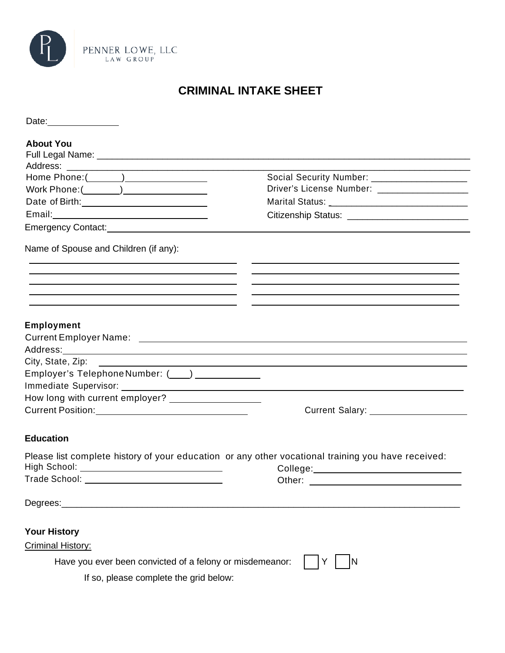

# **CRIMINAL INTAKE SHEET**

| <b>About You</b>                                                                                                                                                                                                                                                                                                     |                                                                                                                                                    |
|----------------------------------------------------------------------------------------------------------------------------------------------------------------------------------------------------------------------------------------------------------------------------------------------------------------------|----------------------------------------------------------------------------------------------------------------------------------------------------|
|                                                                                                                                                                                                                                                                                                                      | Social Security Number: _____________________<br>Driver's License Number: ___________________<br>Citizenship Status: _____________________________ |
| Name of Spouse and Children (if any):<br><u> 1989 - Andrea Santa Alemania, amerikana amerikana amerikana amerikana amerikana amerikana amerikana amerikan</u><br><u> 2001 - Andrea Andrew Maria (h. 1888).</u><br>2001 - Andrew Maria (h. 1888).<br><u> 1989 - Johann John Stone, meilich aus der Stone († 1989)</u> | and the control of the control of the control of the control of the control of the control of the control of the                                   |
| Employment                                                                                                                                                                                                                                                                                                           |                                                                                                                                                    |
| Employer's Telephone Number: (___) ___________                                                                                                                                                                                                                                                                       |                                                                                                                                                    |
| How long with current employer? ____________________<br>Current Position: ___________________________________                                                                                                                                                                                                        | Current Salary: ______________________                                                                                                             |
| <b>Education</b>                                                                                                                                                                                                                                                                                                     |                                                                                                                                                    |
| Please list complete history of your education or any other vocational training you have received:<br>High School: ________________________________<br>Trade School: _______________________________                                                                                                                 | Other:                                                                                                                                             |
| Degrees:_                                                                                                                                                                                                                                                                                                            |                                                                                                                                                    |
| <b>Your History</b><br>Criminal History:                                                                                                                                                                                                                                                                             |                                                                                                                                                    |
| Have you ever been convicted of a felony or misdemeanor:<br>If so, please complete the grid below:                                                                                                                                                                                                                   |                                                                                                                                                    |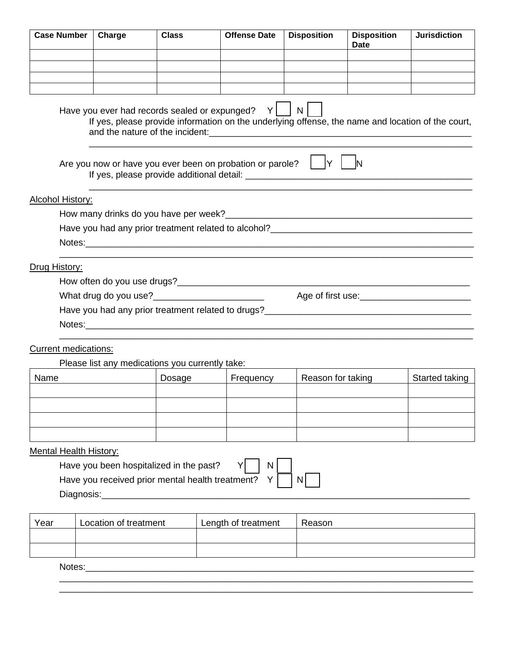| <b>Case Number</b>          | Charge | <b>Class</b>                                                                                                                                           | <b>Offense Date</b> | <b>Disposition</b> | <b>Disposition</b><br>Date | <b>Jurisdiction</b> |
|-----------------------------|--------|--------------------------------------------------------------------------------------------------------------------------------------------------------|---------------------|--------------------|----------------------------|---------------------|
|                             |        |                                                                                                                                                        |                     |                    |                            |                     |
|                             |        |                                                                                                                                                        |                     |                    |                            |                     |
|                             |        |                                                                                                                                                        |                     |                    |                            |                     |
|                             |        | Have you ever had records sealed or expunged? $Y$<br>If yes, please provide information on the underlying offense, the name and location of the court, |                     | N                  |                            |                     |
|                             |        | Are you now or have you ever been on probation or parole? $\Box Y$                                                                                     |                     |                    |                            |                     |
| Alcohol History:            |        |                                                                                                                                                        |                     |                    |                            |                     |
|                             |        |                                                                                                                                                        |                     |                    |                            |                     |
|                             |        | Have you had any prior treatment related to alcohol? ____________________________                                                                      |                     |                    |                            |                     |
|                             |        |                                                                                                                                                        |                     |                    |                            |                     |
| Drug History:               |        |                                                                                                                                                        |                     |                    |                            |                     |
|                             |        |                                                                                                                                                        |                     |                    |                            |                     |
|                             |        | What drug do you use?<br><u> What drug</u> do you use?                                                                                                 |                     |                    |                            |                     |
|                             |        | Have you had any prior treatment related to drugs?_______________________________                                                                      |                     |                    |                            |                     |
|                             |        |                                                                                                                                                        |                     |                    |                            |                     |
| <b>Current medications:</b> |        |                                                                                                                                                        |                     |                    |                            |                     |

### Please list any medications you currently take:

| Name | Dosage | Frequency | Reason for taking | Started taking |
|------|--------|-----------|-------------------|----------------|
|      |        |           |                   |                |
|      |        |           |                   |                |
|      |        |           |                   |                |
|      |        |           |                   |                |

### Mental Health History:

Have you been hospitalized in the past?  $Y \cap N$ 

Have you received prior mental health treatment?  $Y \cap N$ 

Diagnosis:\_\_\_\_\_

| Year | Location of treatment | Length of treatment | Reason |
|------|-----------------------|---------------------|--------|
|      |                       |                     |        |
|      |                       |                     |        |

\_\_\_\_\_\_\_\_\_\_\_\_\_\_\_\_\_\_\_\_\_\_\_\_\_\_\_\_\_\_\_\_\_\_\_\_\_\_\_\_\_\_\_\_\_\_\_\_\_\_\_\_\_\_\_\_\_\_\_\_\_\_\_\_\_\_\_\_\_\_\_\_\_\_\_\_\_\_\_\_\_\_ \_\_\_\_\_\_\_\_\_\_\_\_\_\_\_\_\_\_\_\_\_\_\_\_\_\_\_\_\_\_\_\_\_\_\_\_\_\_\_\_\_\_\_\_\_\_\_\_\_\_\_\_\_\_\_\_\_\_\_\_\_\_\_\_\_\_\_\_\_\_\_\_\_\_\_\_\_\_\_\_\_\_

Notes:\_\_\_\_\_\_\_\_\_\_\_\_\_\_\_\_\_\_\_\_\_\_\_\_\_\_\_\_\_\_\_\_\_\_\_\_\_\_\_\_\_\_\_\_\_\_\_\_\_\_\_\_\_\_\_\_\_\_\_\_\_\_\_\_\_\_\_\_\_\_\_\_\_\_\_\_\_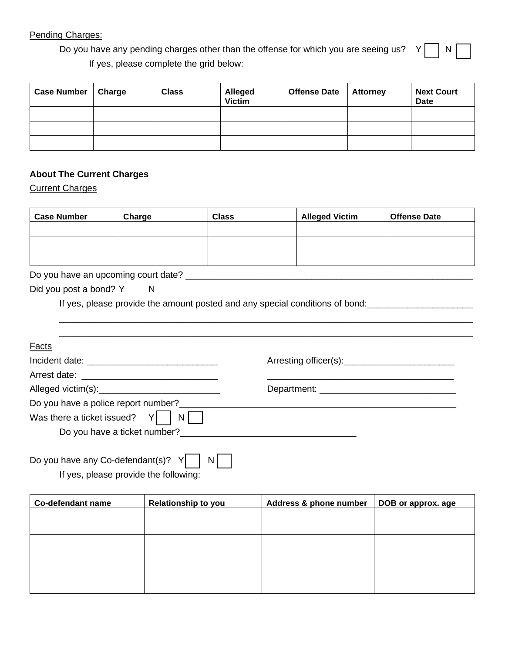#### Pending Charges:

Do you have any pending charges other than the offense for which you are seeing us?  $Y \cap N$ If yes, please complete the grid below:

| <b>Case Number</b> | <b>Charge</b> | <b>Class</b> | <b>Alleged</b><br><b>Victim</b> | <b>Offense Date</b> | <b>Attorney</b> | <b>Next Court</b><br><b>Date</b> |
|--------------------|---------------|--------------|---------------------------------|---------------------|-----------------|----------------------------------|
|                    |               |              |                                 |                     |                 |                                  |
|                    |               |              |                                 |                     |                 |                                  |
|                    |               |              |                                 |                     |                 |                                  |

## **About The Current Charges**

Current Charges

| <b>Case Number</b> | Charge | <b>Class</b> | <b>Alleged Victim</b> | <b>Offense Date</b> |
|--------------------|--------|--------------|-----------------------|---------------------|
|                    |        |              |                       |                     |
|                    |        |              |                       |                     |
|                    |        |              |                       |                     |

Do you have an upcoming court date? \_\_\_\_\_\_\_\_\_\_\_\_\_\_\_\_\_\_\_\_\_\_\_\_\_\_\_\_\_\_\_\_\_\_\_\_\_\_\_\_\_\_\_\_\_\_\_\_\_\_\_\_\_\_\_\_\_

| Did you post a bond? Y |  | N. |
|------------------------|--|----|
|------------------------|--|----|

If yes, please provide the amount posted and any special conditions of bond:<br>

| <b>Facts</b>                          |  |
|---------------------------------------|--|
|                                       |  |
|                                       |  |
|                                       |  |
| Do you have a police report number?   |  |
| Was there a ticket issued? $Y$<br>$N$ |  |
| Do you have a ticket number?          |  |

\_\_\_\_\_\_\_\_\_\_\_\_\_\_\_\_\_\_\_\_\_\_\_\_\_\_\_\_\_\_\_\_\_\_\_\_\_\_\_\_\_\_\_\_\_\_\_\_\_\_\_\_\_\_\_\_\_\_\_\_\_\_\_\_\_\_\_\_\_\_\_\_\_\_\_\_\_\_\_\_\_\_

| Do you have any Co-defendant(s)? $Y \cup N$ |  |  |  |  |
|---------------------------------------------|--|--|--|--|
|                                             |  |  |  |  |

If yes, please provide the following:

| <b>Relationship to you</b> | Address & phone number | DOB or approx. age |
|----------------------------|------------------------|--------------------|
|                            |                        |                    |
|                            |                        |                    |
|                            |                        |                    |
|                            |                        |                    |
|                            |                        |                    |
|                            |                        |                    |
|                            |                        |                    |